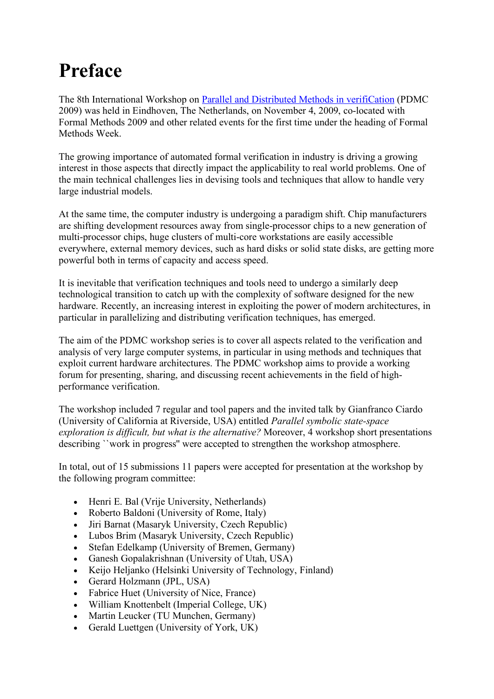## **Preface**

The 8th International Workshop on [Parallel and Distributed Methods in verifiCation](http://www.pdmc.cz/PDMC09) (PDMC 2009) was held in Eindhoven, The Netherlands, on November 4, 2009, co-located with Formal Methods 2009 and other related events for the first time under the heading of Formal Methods Week.

The growing importance of automated formal verification in industry is driving a growing interest in those aspects that directly impact the applicability to real world problems. One of the main technical challenges lies in devising tools and techniques that allow to handle very large industrial models.

At the same time, the computer industry is undergoing a paradigm shift. Chip manufacturers are shifting development resources away from single-processor chips to a new generation of multi-processor chips, huge clusters of multi-core workstations are easily accessible everywhere, external memory devices, such as hard disks or solid state disks, are getting more powerful both in terms of capacity and access speed.

It is inevitable that verification techniques and tools need to undergo a similarly deep technological transition to catch up with the complexity of software designed for the new hardware. Recently, an increasing interest in exploiting the power of modern architectures, in particular in parallelizing and distributing verification techniques, has emerged.

The aim of the PDMC workshop series is to cover all aspects related to the verification and analysis of very large computer systems, in particular in using methods and techniques that exploit current hardware architectures. The PDMC workshop aims to provide a working forum for presenting, sharing, and discussing recent achievements in the field of highperformance verification.

The workshop included 7 regular and tool papers and the invited talk by Gianfranco Ciardo (University of California at Riverside, USA) entitled *Parallel symbolic state-space exploration is difficult, but what is the alternative?* Moreover, 4 workshop short presentations describing ``work in progress'' were accepted to strengthen the workshop atmosphere.

In total, out of 15 submissions 11 papers were accepted for presentation at the workshop by the following program committee:

- Henri E. Bal (Vrije University, Netherlands)
- Roberto Baldoni (University of Rome, Italy)
- Jiri Barnat (Masaryk University, Czech Republic)
- Lubos Brim (Masaryk University, Czech Republic)
- Stefan Edelkamp (University of Bremen, Germany)
- Ganesh Gopalakrishnan (University of Utah, USA)
- Keijo Heljanko (Helsinki University of Technology, Finland)
- Gerard Holzmann (JPL, USA)
- Fabrice Huet (University of Nice, France)
- William Knottenbelt (Imperial College, UK)
- Martin Leucker (TU Munchen, Germany)
- Gerald Luettgen (University of York, UK)